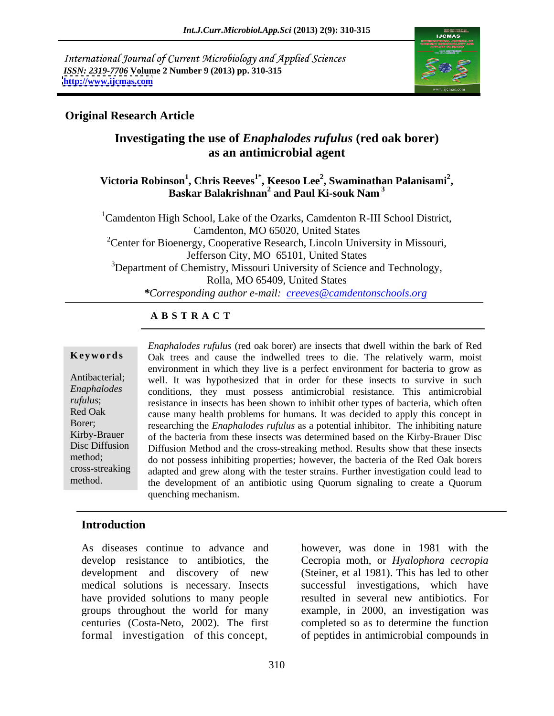International Journal of Current Microbiology and Applied Sciences *ISSN: 2319-7706* **Volume 2 Number 9 (2013) pp. 310-315 <http://www.ijcmas.com>**



# **Original Research Article**

# **Investigating the use of** *Enaphalodes rufulus* **(red oak borer) as an antimicrobial agent**

Victoria Robinson<sup>1</sup>, Chris Reeves<sup>1\*</sup>, Keesoo Lee<sup>2</sup>, Swaminathan Palanisami<sup>2</sup>,<br>Baskar Balakrishnan<sup>2</sup> and Paul Ki-souk Nam<sup>3</sup> **and Paul Ki-souk Nam<sup>3</sup>**

<sup>1</sup>Camdenton High School, Lake of the Ozarks, Camdenton R-III School District, Camdenton, MO 65020, United States <sup>2</sup>Center for Bioenergy, Cooperative Research, Lincoln University in Missouri,<br>Jefferson City, MO 65101, United States <sup>3</sup>Department of Chemistry, Missouri University of Science and Technology, Rolla, MO 65409, United States *\*Corresponding author e-mail: creeves@camdentonschools.org*

# **A B S T R A C T**

**Ke ywo rds** Oak trees and cause the indwelled trees to die. The relatively warm, moist Antibacterial; well. It was hypothesized that in order for these insects to survive in such *Enaphalodes*  conditions, they must possess antimicrobial resistance. This antimicrobial *rufulus*; resistance in insects has been shown to inhibit other types of bacteria, which often Red Oak cause many health problems for humans. It was decided to apply this concept in Borer; researching the *Enaphalodes rufulus* as a potential inhibitor. The inhibiting nature Kirby-Brauer of the bacteria from these insects was determined based on the Kirby-Brauer Disc Disc Diffusion Diffusion Method and the cross-streaking method. Results show that these insects method; do not possess inhibiting properties; however, the bacteria of the Red Oak borers cross-streaking adapted and grew along with the tester strains. Further investigation could lead to method. the development of an antibiotic using Quorum signaling to create a Quorum *Enaphalodes rufulus* (red oak borer) are insects that dwell within the bark of Red environment in which they live is a perfect environment for bacteria to grow as quenching mechanism.

# **Introduction**

As diseases continue to advance and however, was done in 1981 with the develop resistance to antibiotics, the Cecropia moth, or *Hyalophora cecropia* development and discovery of new medical solutions is necessary. Insects successful investigations, which have have provided solutions to many people resulted in several new antibiotics. For groups throughout the world for many example, in 2000, an investigation was centuries (Costa-Neto, 2002). The first completed so as to determine the function As diseases continue to advance and<br>develop resistance to antibiotics, the<br>development and discovery of new<br>medical solutions is necessary. Insects<br>have provided solutions to many people<br>resulted in several new antibiotics

(Steiner, et al 1981). This has led to other of peptides in antimicrobial compounds in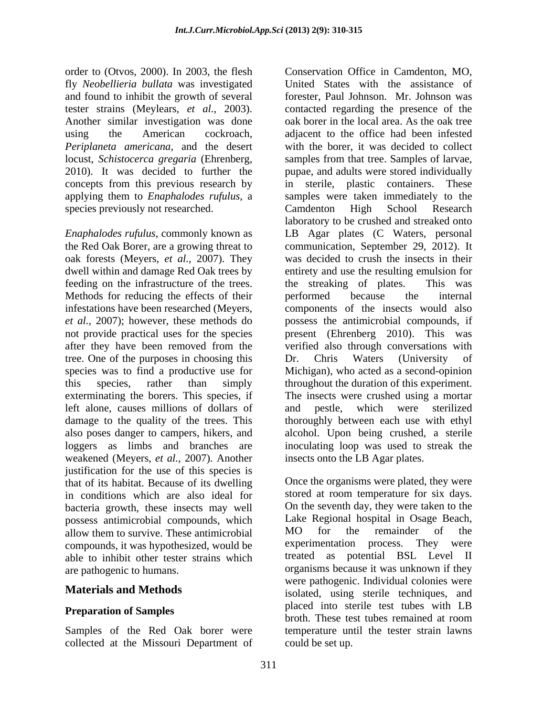order to (Otvos, 2000). In 2003, the flesh Conservation Office in Camdenton, MO, fly *Neobellieria bullata* was investigated and found to inhibit the growth of several Another similar investigation was done applying them to *Enaphalodes rufulus*, a species previously not researched.

the Red Oak Borer, are a growing threat to infestations have been researched (Meyers, tree. One of the purposes in choosing this Dr. Chris Waters (University of exterminating the borers. This species, if left alone, causes millions of dollars of weakened (Meyers, *et al.,* 2007). Another justification for the use of this species is that of its habitat. Because of its dwelling Once the organisms were plated, they were<br>in conditions which are also ideal for stored at room temperature for six days. in conditions which are also ideal for bacteria growth, these insects may well possess antimicrobial compounds, which Lake Regional hospital in Osage Beach,<br>allow them to survive These antimicrobial MO for the remainder of the allow them to survive. These antimicrobial MO for the remainder of the compounds, it was hypothesized, would be able to inhibit other tester strains which

collected at the Missouri Department of

tester strains (Meylears, *et al.,* 2003). contacted regarding the presence of the using the American cockroach, adjacent to the office had been infested *Periplaneta americana*, and the desert with the borer, it was decided to collect locust, *Schistocerca gregaria* (Ehrenberg, samples from that tree. Samples of larvae, 2010). It was decided to further the pupae, and adults were stored individually concepts from this previous research by in sterile, plastic containers. These *Enaphalodes rufulus*, commonly known as LB Agar plates (C Waters, personal oak forests (Meyers, *et al.,* 2007). They was decided to crush the insects in their dwell within and damage Red Oak trees by entirety and use the resulting emulsion for feeding on the infrastructure of the trees. This was the streaking of plates. This was Methods for reducing the effects of their performed because the internal *et al.,* 2007); however, these methods do possess the antimicrobial compounds, if not provide practical uses for the species present (Ehrenberg 2010). This was after they have been removed from the verified also through conversations with species was to find a productive use for Michigan), who acted as a second-opinion this species, rather than simply throughout the duration of this experiment. damage to the quality of the trees. This thoroughly between each use with ethyl also poses danger to campers, hikers, and alcohol. Upon being crushed, a sterile loggers as limbs and branches are inoculating loop was used to streak the Conservation Office in Camdenton, MO, United States with the assistance of forester, Paul Johnson. Mr. Johnson was oak borer in the local area. As the oak tree samples were taken immediately to the Camdenton High School Research laboratory to be crushed and streaked onto communication, September 29, 2012). It the streaking of plates. This was performed because the internal components of the insects would also verified also through conversations with Dr. Chris Waters (University of The insects were crushed using a mortar nestle, which were sterilized insects onto the LB Agar plates.

are pathogenic to humans. organisms because it was unknown if they **Materials and Methods** isolated, using sterile techniques, and **Preparation of Samples Preparation of Samples Preparation of Samples Preparation of Samples Property Property Property Property Property Property Property Property Property Property Property** Samples of the Red Oak borer were temperature until the tester strain lawns Once the organisms were plated, they were stored at room temperature for six days. On the seventh day, they were taken to the Lake Regional hospital in Osage Beach, MO for the remainder of the experimentation process. They were treated as potential BSL Level II were pathogenic. Individual colonies were placed into sterile test tubes with LB broth. These test tubes remained at room could be set up.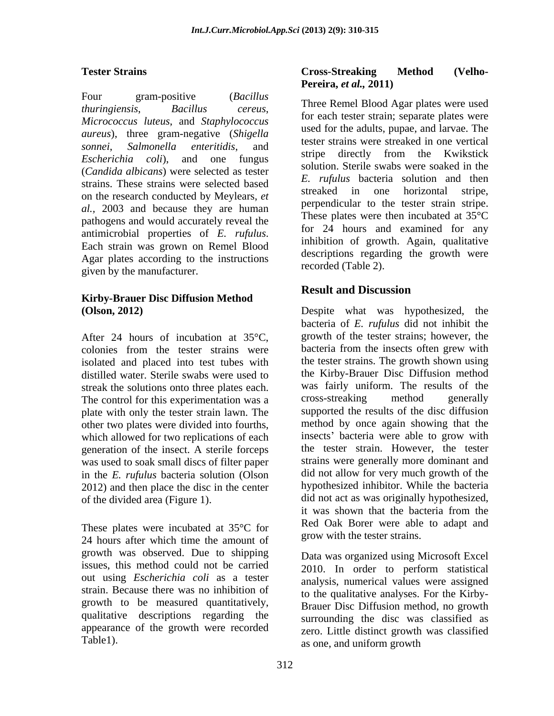Four gram-positive (*Bacillus Micrococcus luteus*, and *Staphylococcus aureus*), three gram-negative (*Shigella*  (*Candida albicans*) were selected as tester strains. These strains were selected based<br>streaked in one horizontal stripe. on the research conducted by Meylears, *et al.,* 2003 and because they are human pathogens and would accurately reveal the Agar plates according to the instructions given by the manufacturer.

# **Kirby-Brauer Disc Diffusion Method**

After 24 hours of incubation at 35°C, colonies from the tester strains were isolated and placed into test tubes with distilled water. Sterile swabs were used to streak the solutions onto three plates each. was fairly uniform. The results of the The control for this experimentation was a cross-streaking method generally The control for this experimentation was a plate with only the tester strain lawn. The other two plates were divided into fourths, which allowed for two replications of each generation of the insect. A sterile forceps was used to soak small discs of filter paper in the *E. rufulus* bacteria solution (Olson 2012) and then place the disc in the center

24 hours after which time the amount of growth was observed. Due to shipping issues, this method could not be carried out using *Escherichia coli* as a tester strain. Because there was no inhibition of growth to be measured quantitatively, Brauer Disc Diffusion method, no growth qualitative descriptions regarding the appearance of the growth were recorded

### **Tester Strains Cross-Streaking Method** (Velho-**Cross-Streaking Method (Velho- Pereira,** *et al.,* **2011)**

*thuringiensis*, *Bacillus cereus*, *sonnei*, *Salmonella enteritidis*, and *Escherichia coli*), and one fungus surfies the directly from the KWIKSHCK antimicrobial properties of *E. rufulus*.<br>Each strain was grown on Remel Blood in the strain of growth. Again, qualitative Three Remel Blood Agar plates were used for each tester strain; separate plates were used for the adults, pupae, and larvae. The tester strains were streaked in one vertical stripe directly from the Kwikstick solution. Sterile swabs were soaked in the *E. rufulus* bacteria solution and then streaked in one horizontal stripe, perpendicular to the tester strain stripe. These plates were then incubated at 35°C for 24 hours and examined for any inhibition of growth. Again, qualitative descriptions regarding the growth were recorded (Table 2).

# **Result and Discussion**

**(Olson, 2012)** Despite what was hypothesized, the of the divided area (Figure 1).<br>
it was shown that the bacteria from the<br>
These plates were incubated at 35°C for<br>
Red Oak Borer were able to adapt and<br>
Here incubated at 35°C for bacteria of *E. rufulus* did not inhibit the growth of the tester strains; however, the bacteria from the insects often grew with the tester strains. The growth shown using the Kirby-Brauer Disc Diffusion method was fairly uniform. The results of the cross-streaking method generally supported the results of the disc diffusion method by once again showing that the insects' bacteria were able to grow with the tester strain. However, the tester strains were generally more dominant and did not allow for very much growth of the hypothesized inhibitor. While the bacteria did not act as was originally hypothesized, it was shown that the bacteria from the Red Oak Borer were able to adapt and grow with the tester strains.

Table1). as one, and uniform growth as one, and uniform growth Data was organized using Microsoft Excel 2010. In order to perform statistical analysis, numerical values were assigned to the qualitative analyses. For the Kirby surrounding the disc was classified as zero. Little distinct growth was classified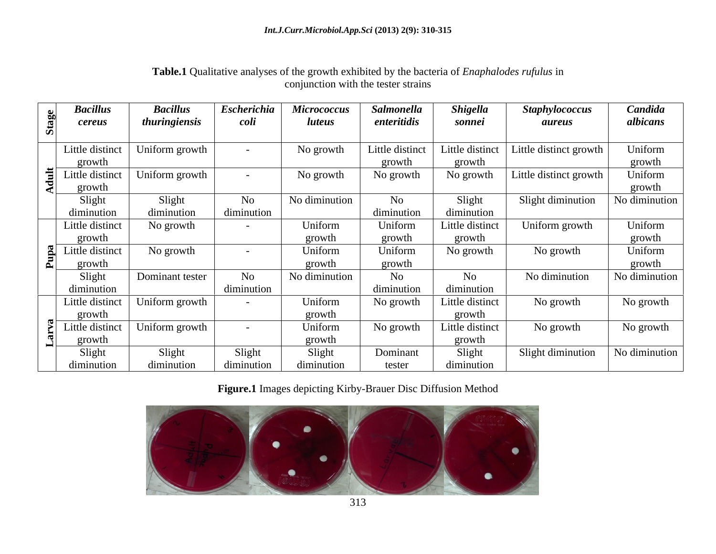|                          | <b>Bacillus</b><br><i>cereus</i> | <b>Bacillus</b><br>thuringiensis | <b>Escherichia</b><br><i>coli</i> | <b>Micrococcus</b><br><i>luteus</i> | Salmonella<br>enteritidis | <b>Shigella</b><br>sonnei | <b>Staphylococcus</b><br>aureus | Candida<br>albicans |
|--------------------------|----------------------------------|----------------------------------|-----------------------------------|-------------------------------------|---------------------------|---------------------------|---------------------------------|---------------------|
|                          |                                  |                                  |                                   |                                     |                           |                           |                                 |                     |
|                          | Little distinct                  | Uniform growth                   |                                   | No growth                           | Little distinct           | Little distinct           | Little distinct growth          | Uniform             |
|                          | growth                           |                                  |                                   |                                     | growth                    | growth                    |                                 | growth              |
|                          | $\frac{1}{2}$ Little distinc     | Uniform growth                   |                                   | No growth                           | No growth                 | No growth                 | Little distinct growth          | Uniform             |
| $\overline{\phantom{a}}$ | growth                           |                                  |                                   |                                     |                           |                           |                                 | growth              |
|                          | Slight                           | Slight                           | No                                | No diminution                       | No                        | Slight                    | Slight diminution               | No diminution       |
|                          | diminution                       | diminution                       | diminution                        |                                     | diminution                | diminution                |                                 |                     |
|                          | Little distinct                  | No growth                        |                                   | Uniform                             | Uniform                   | Little distinct           | Uniform growth                  | Uniform             |
|                          | growth                           |                                  |                                   | growth                              | growth                    | growth                    |                                 | growth              |
|                          | $\frac{a}{b}$ Little distinct    | No growth                        |                                   | Uniform                             | Uniform                   | No growth                 | No growth                       | Uniform             |
|                          | growth                           |                                  |                                   | growth                              | growth                    |                           |                                 | growth              |
|                          | Sligh                            | Dominant tester                  | No                                | No diminution                       | No                        | No                        | No diminution                   | No diminution       |
|                          | diminution                       |                                  | diminution                        |                                     | diminution                | diminution                |                                 |                     |
|                          | Little distinct                  | Uniform growth                   | $-$                               | Uniform                             | No growth                 | Little distinct           | No growth                       | No growth           |
|                          | growth                           |                                  |                                   | growth                              |                           | growth                    |                                 |                     |
|                          | $\ddot{\ge}$ Little distinct     | Uniform growth                   |                                   | Uniform                             | No growth                 | Little distinct           | No growth                       | No growth           |
|                          | growth                           |                                  |                                   | growth                              |                           | growth                    |                                 |                     |
|                          | Slight                           | Slight                           | Slight                            | Slight                              | Dominant                  | Slight                    | Slight diminution               | No diminution       |
|                          | diminution                       | diminution                       | diminution                        | diminution                          | tester                    | diminution                |                                 |                     |

# **Table.1** Qualitative analyses of the growth exhibited by the bacteria of *Enaphalodes rufulus* in conjunction with the tester strains

**Figure.1** Images depicting Kirby-Brauer Disc Diffusion Method

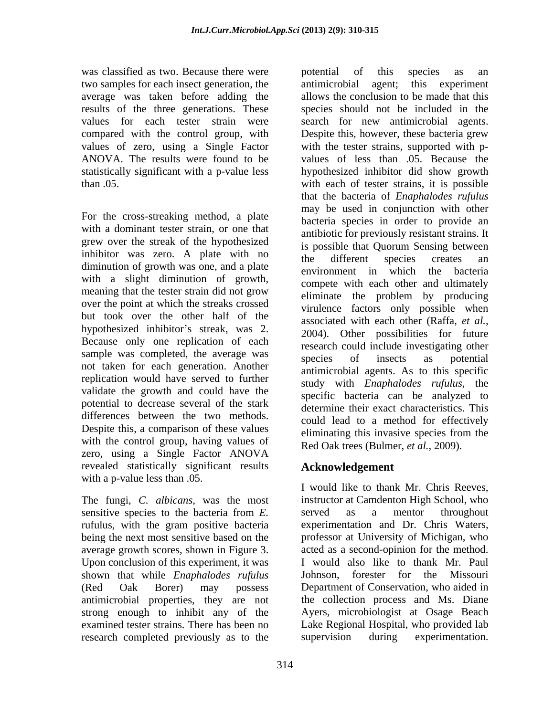was classified as two. Because there were botential of this species as an two samples for each insect generation, the antimicrobial agent; this experiment average was taken before adding the results of the three generations. These compared with the control group, with

For the cross-streaking method, a plate with a dominant tester strain, or one that grew over the streak of the hypothesized inhibitor was zero. A plate with no<br>the different species creates an diminution of growth was one, and a plate and environment in which the bacteria with a slight diminution of growth, meaning that the tester strain did not grow over the point at which the streaks crossed but took over the other half of the hypothesized inhibitor's streak, was 2. Because only one replication of each sample was completed, the average was<br>species of insects as potential not taken for each generation. Another replication would have served to further validate the growth and could have the potential to decrease several of the stark differences between the two methods. Despite this, a comparison of these values<br>eliminating this invasive species from the with the control group, having values of zero, using a Single Factor ANOVA zero, using a Single Factor ANOVA revealed statistically significant results with a p-value less than .05.<br>I would like to thank Mr. Chris Reeves,

The fungi, *C. albicans,* was the most rufulus, with the gram positive bacteria average growth scores, shown in Figure 3. Upon conclusion of this experiment, it was shown that while *Enaphalodes rufulus* research completed previously as to the supervision during experimentation.

values for each tester strain were search for new antimicrobial agents. values of zero, using a Single Factor with the tester strains, supported with p- ANOVA. The results were found to be values of less than .05. Because the statistically significant with a p-value less hypothesized inhibitor did show growth than .05. with each of tester strains, it is possible potential of this species as an antimicrobial agent; this experiment allows the conclusion to be made that this species should not be included in the Despite this, however, these bacteria grew that the bacteria of *Enaphalodes rufulus* may be used in conjunction with other bacteria species in order to provide an antibiotic for previously resistant strains. It is possible that Quorum Sensing between the different species creates an environment in which the compete with each other and ultimately eliminate the problem by producing virulence factors only possible when associated with each other (Raffa, *et al.,* 2004). Other possibilities for future research could include investigating other species of insects as potential antimicrobial agents. As to this specific study with *Enaphalodes rufulus*, the specific bacteria can be analyzed to determine their exact characteristics. This could lead to a method for effectively eliminating this invasive species from the Red Oak trees (Bulmer, *et al.,* 2009).

# **Acknowledgement**

sensitive species to the bacteria from *E.*  being the next most sensitive based on the professor at University of Michigan, who (Red Oak Borer) may possess Department of Conservation, who aided in antimicrobial properties, they are not the collection process and Ms. Diane strong enough to inhibit any of the Ayers, microbiologist at Osage Beach examined tester strains. There has been no Lake Regional Hospital, who provided lab <sup>I</sup> would like to thank Mr. Chris Reeves, instructor at Camdenton High School, who served as a mentor throughout experimentation and Dr. Chris Waters, acted as a second-opinion for the method. I would also like to thank Mr. Paul Johnson, forester for the Missouri supervision during experimentation.